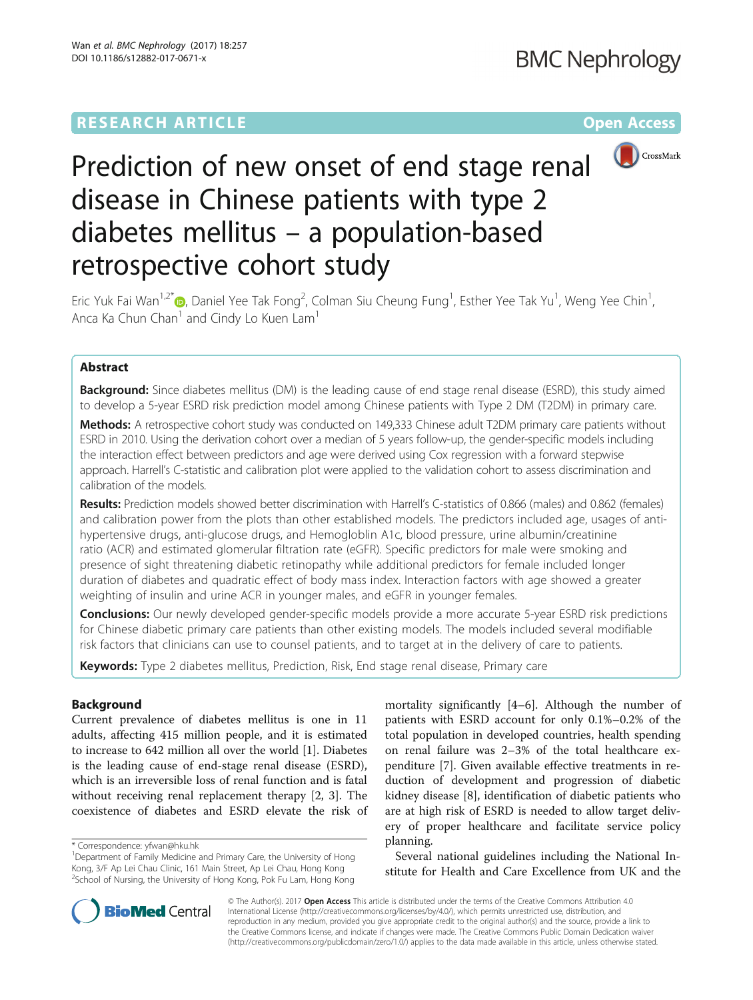## **RESEARCH ARTICLE Example 2014 12:30 The Contract of Contract ACCESS**



# Prediction of new onset of end stage renal disease in Chinese patients with type 2 diabetes mellitus – a population-based retrospective cohort study

Eric Yuk Fai Wan<sup>1[,](http://orcid.org/0000-0002-6275-1147)2\*</sup> (**p**, Daniel Yee Tak Fong<sup>2</sup>, Colman Siu Cheung Fung<sup>1</sup>, Esther Yee Tak Yu<sup>1</sup>, Weng Yee Chin<sup>1</sup> , Anca Ka Chun Chan<sup>1</sup> and Cindy Lo Kuen Lam<sup>1</sup>

## Abstract

**Background:** Since diabetes mellitus (DM) is the leading cause of end stage renal disease (ESRD), this study aimed to develop a 5-year ESRD risk prediction model among Chinese patients with Type 2 DM (T2DM) in primary care.

Methods: A retrospective cohort study was conducted on 149,333 Chinese adult T2DM primary care patients without ESRD in 2010. Using the derivation cohort over a median of 5 years follow-up, the gender-specific models including the interaction effect between predictors and age were derived using Cox regression with a forward stepwise approach. Harrell's C-statistic and calibration plot were applied to the validation cohort to assess discrimination and calibration of the models.

Results: Prediction models showed better discrimination with Harrell's C-statistics of 0.866 (males) and 0.862 (females) and calibration power from the plots than other established models. The predictors included age, usages of antihypertensive drugs, anti-glucose drugs, and Hemogloblin A1c, blood pressure, urine albumin/creatinine ratio (ACR) and estimated glomerular filtration rate (eGFR). Specific predictors for male were smoking and presence of sight threatening diabetic retinopathy while additional predictors for female included longer duration of diabetes and quadratic effect of body mass index. Interaction factors with age showed a greater weighting of insulin and urine ACR in younger males, and eGFR in younger females.

Conclusions: Our newly developed gender-specific models provide a more accurate 5-year ESRD risk predictions for Chinese diabetic primary care patients than other existing models. The models included several modifiable risk factors that clinicians can use to counsel patients, and to target at in the delivery of care to patients.

Keywords: Type 2 diabetes mellitus, Prediction, Risk, End stage renal disease, Primary care

## Background

Current prevalence of diabetes mellitus is one in 11 adults, affecting 415 million people, and it is estimated to increase to 642 million all over the world [\[1](#page-7-0)]. Diabetes is the leading cause of end-stage renal disease (ESRD), which is an irreversible loss of renal function and is fatal without receiving renal replacement therapy [\[2](#page-7-0), [3](#page-7-0)]. The coexistence of diabetes and ESRD elevate the risk of

mortality significantly [[4](#page-7-0)–[6](#page-7-0)]. Although the number of patients with ESRD account for only 0.1%–0.2% of the total population in developed countries, health spending on renal failure was 2–3% of the total healthcare expenditure [[7\]](#page-7-0). Given available effective treatments in reduction of development and progression of diabetic kidney disease [[8\]](#page-7-0), identification of diabetic patients who are at high risk of ESRD is needed to allow target delivery of proper healthcare and facilitate service policy planning.

Several national guidelines including the National Institute for Health and Care Excellence from UK and the



© The Author(s). 2017 **Open Access** This article is distributed under the terms of the Creative Commons Attribution 4.0 International License [\(http://creativecommons.org/licenses/by/4.0/](http://creativecommons.org/licenses/by/4.0/)), which permits unrestricted use, distribution, and reproduction in any medium, provided you give appropriate credit to the original author(s) and the source, provide a link to the Creative Commons license, and indicate if changes were made. The Creative Commons Public Domain Dedication waiver [\(http://creativecommons.org/publicdomain/zero/1.0/](http://creativecommons.org/publicdomain/zero/1.0/)) applies to the data made available in this article, unless otherwise stated.

<sup>\*</sup> Correspondence: [yfwan@hku.hk](mailto:yfwan@hku.hk) <sup>1</sup>

<sup>&</sup>lt;sup>1</sup>Department of Family Medicine and Primary Care, the University of Hong Kong, 3/F Ap Lei Chau Clinic, 161 Main Street, Ap Lei Chau, Hong Kong <sup>2</sup>School of Nursing, the University of Hong Kong, Pok Fu Lam, Hong Kong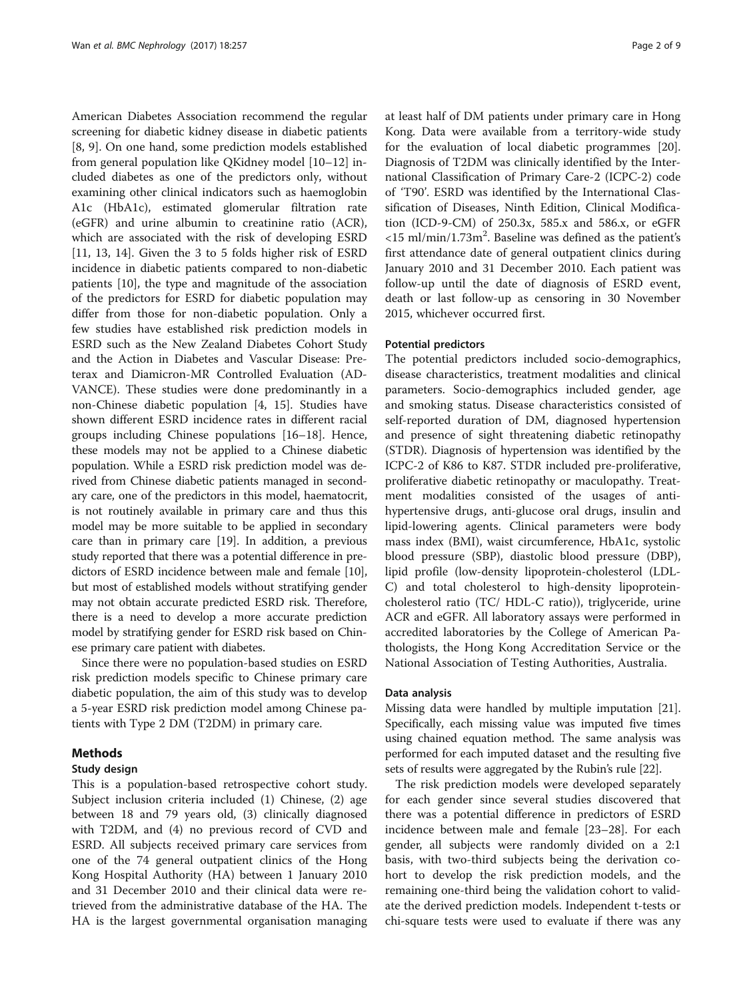American Diabetes Association recommend the regular screening for diabetic kidney disease in diabetic patients [[8, 9](#page-7-0)]. On one hand, some prediction models established from general population like QKidney model [\[10](#page-7-0)–[12\]](#page-7-0) included diabetes as one of the predictors only, without examining other clinical indicators such as haemoglobin A1c (HbA1c), estimated glomerular filtration rate (eGFR) and urine albumin to creatinine ratio (ACR), which are associated with the risk of developing ESRD [[11, 13](#page-7-0), [14\]](#page-7-0). Given the 3 to 5 folds higher risk of ESRD incidence in diabetic patients compared to non-diabetic patients [[10\]](#page-7-0), the type and magnitude of the association of the predictors for ESRD for diabetic population may differ from those for non-diabetic population. Only a few studies have established risk prediction models in ESRD such as the New Zealand Diabetes Cohort Study and the Action in Diabetes and Vascular Disease: Preterax and Diamicron-MR Controlled Evaluation (AD-VANCE). These studies were done predominantly in a non-Chinese diabetic population [\[4, 15](#page-7-0)]. Studies have shown different ESRD incidence rates in different racial groups including Chinese populations [\[16](#page-7-0)–[18\]](#page-7-0). Hence, these models may not be applied to a Chinese diabetic population. While a ESRD risk prediction model was derived from Chinese diabetic patients managed in secondary care, one of the predictors in this model, haematocrit, is not routinely available in primary care and thus this model may be more suitable to be applied in secondary care than in primary care [\[19](#page-7-0)]. In addition, a previous study reported that there was a potential difference in predictors of ESRD incidence between male and female [[10](#page-7-0)], but most of established models without stratifying gender may not obtain accurate predicted ESRD risk. Therefore, there is a need to develop a more accurate prediction model by stratifying gender for ESRD risk based on Chinese primary care patient with diabetes.

Since there were no population-based studies on ESRD risk prediction models specific to Chinese primary care diabetic population, the aim of this study was to develop a 5-year ESRD risk prediction model among Chinese patients with Type 2 DM (T2DM) in primary care.

## Methods

#### Study design

This is a population-based retrospective cohort study. Subject inclusion criteria included (1) Chinese, (2) age between 18 and 79 years old, (3) clinically diagnosed with T2DM, and (4) no previous record of CVD and ESRD. All subjects received primary care services from one of the 74 general outpatient clinics of the Hong Kong Hospital Authority (HA) between 1 January 2010 and 31 December 2010 and their clinical data were retrieved from the administrative database of the HA. The HA is the largest governmental organisation managing at least half of DM patients under primary care in Hong Kong. Data were available from a territory-wide study for the evaluation of local diabetic programmes [\[20](#page-7-0)]. Diagnosis of T2DM was clinically identified by the International Classification of Primary Care-2 (ICPC-2) code of 'T90'. ESRD was identified by the International Classification of Diseases, Ninth Edition, Clinical Modification (ICD-9-CM) of 250.3x, 585.x and 586.x, or eGFR  $<$ 15 ml/min/1.73m<sup>2</sup>. Baseline was defined as the patient's first attendance date of general outpatient clinics during January 2010 and 31 December 2010. Each patient was follow-up until the date of diagnosis of ESRD event, death or last follow-up as censoring in 30 November 2015, whichever occurred first.

## Potential predictors

The potential predictors included socio-demographics, disease characteristics, treatment modalities and clinical parameters. Socio-demographics included gender, age and smoking status. Disease characteristics consisted of self-reported duration of DM, diagnosed hypertension and presence of sight threatening diabetic retinopathy (STDR). Diagnosis of hypertension was identified by the ICPC-2 of K86 to K87. STDR included pre-proliferative, proliferative diabetic retinopathy or maculopathy. Treatment modalities consisted of the usages of antihypertensive drugs, anti-glucose oral drugs, insulin and lipid-lowering agents. Clinical parameters were body mass index (BMI), waist circumference, HbA1c, systolic blood pressure (SBP), diastolic blood pressure (DBP), lipid profile (low-density lipoprotein-cholesterol (LDL-C) and total cholesterol to high-density lipoproteincholesterol ratio (TC/ HDL-C ratio)), triglyceride, urine ACR and eGFR. All laboratory assays were performed in accredited laboratories by the College of American Pathologists, the Hong Kong Accreditation Service or the National Association of Testing Authorities, Australia.

#### Data analysis

Missing data were handled by multiple imputation [[21](#page-7-0)]. Specifically, each missing value was imputed five times using chained equation method. The same analysis was performed for each imputed dataset and the resulting five sets of results were aggregated by the Rubin's rule [[22](#page-7-0)].

The risk prediction models were developed separately for each gender since several studies discovered that there was a potential difference in predictors of ESRD incidence between male and female [[23](#page-7-0)–[28](#page-7-0)]. For each gender, all subjects were randomly divided on a 2:1 basis, with two-third subjects being the derivation cohort to develop the risk prediction models, and the remaining one-third being the validation cohort to validate the derived prediction models. Independent t-tests or chi-square tests were used to evaluate if there was any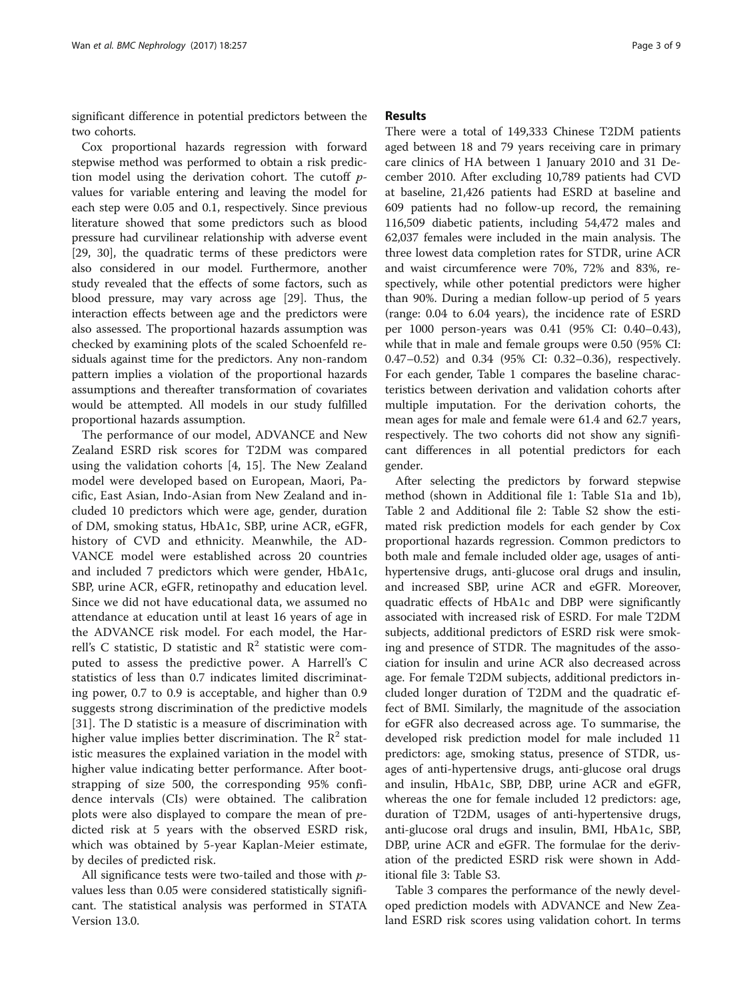significant difference in potential predictors between the two cohorts.

Cox proportional hazards regression with forward stepwise method was performed to obtain a risk prediction model using the derivation cohort. The cutoff pvalues for variable entering and leaving the model for each step were 0.05 and 0.1, respectively. Since previous literature showed that some predictors such as blood pressure had curvilinear relationship with adverse event [[29, 30\]](#page-8-0), the quadratic terms of these predictors were also considered in our model. Furthermore, another study revealed that the effects of some factors, such as blood pressure, may vary across age [\[29](#page-8-0)]. Thus, the interaction effects between age and the predictors were also assessed. The proportional hazards assumption was checked by examining plots of the scaled Schoenfeld residuals against time for the predictors. Any non-random pattern implies a violation of the proportional hazards assumptions and thereafter transformation of covariates would be attempted. All models in our study fulfilled proportional hazards assumption.

The performance of our model, ADVANCE and New Zealand ESRD risk scores for T2DM was compared using the validation cohorts [\[4](#page-7-0), [15\]](#page-7-0). The New Zealand model were developed based on European, Maori, Pacific, East Asian, Indo-Asian from New Zealand and included 10 predictors which were age, gender, duration of DM, smoking status, HbA1c, SBP, urine ACR, eGFR, history of CVD and ethnicity. Meanwhile, the AD-VANCE model were established across 20 countries and included 7 predictors which were gender, HbA1c, SBP, urine ACR, eGFR, retinopathy and education level. Since we did not have educational data, we assumed no attendance at education until at least 16 years of age in the ADVANCE risk model. For each model, the Harrell's C statistic, D statistic and  $\mathbb{R}^2$  statistic were computed to assess the predictive power. A Harrell's C statistics of less than 0.7 indicates limited discriminating power, 0.7 to 0.9 is acceptable, and higher than 0.9 suggests strong discrimination of the predictive models [[31\]](#page-8-0). The D statistic is a measure of discrimination with higher value implies better discrimination. The  $\mathbb{R}^2$  statistic measures the explained variation in the model with higher value indicating better performance. After bootstrapping of size 500, the corresponding 95% confidence intervals (CIs) were obtained. The calibration plots were also displayed to compare the mean of predicted risk at 5 years with the observed ESRD risk, which was obtained by 5-year Kaplan-Meier estimate, by deciles of predicted risk.

All significance tests were two-tailed and those with *p*values less than 0.05 were considered statistically significant. The statistical analysis was performed in STATA Version 13.0.

## Results

There were a total of 149,333 Chinese T2DM patients aged between 18 and 79 years receiving care in primary care clinics of HA between 1 January 2010 and 31 December 2010. After excluding 10,789 patients had CVD at baseline, 21,426 patients had ESRD at baseline and 609 patients had no follow-up record, the remaining 116,509 diabetic patients, including 54,472 males and 62,037 females were included in the main analysis. The three lowest data completion rates for STDR, urine ACR and waist circumference were 70%, 72% and 83%, respectively, while other potential predictors were higher than 90%. During a median follow-up period of 5 years (range: 0.04 to 6.04 years), the incidence rate of ESRD per 1000 person-years was 0.41 (95% CI: 0.40–0.43), while that in male and female groups were 0.50 (95% CI: 0.47–0.52) and 0.34 (95% CI: 0.32–0.36), respectively. For each gender, Table [1](#page-3-0) compares the baseline characteristics between derivation and validation cohorts after multiple imputation. For the derivation cohorts, the mean ages for male and female were 61.4 and 62.7 years, respectively. The two cohorts did not show any significant differences in all potential predictors for each gender.

After selecting the predictors by forward stepwise method (shown in Additional file [1:](#page-6-0) Table S1a and 1b), Table [2](#page-4-0) and Additional file [2](#page-6-0): Table S2 show the estimated risk prediction models for each gender by Cox proportional hazards regression. Common predictors to both male and female included older age, usages of antihypertensive drugs, anti-glucose oral drugs and insulin, and increased SBP, urine ACR and eGFR. Moreover, quadratic effects of HbA1c and DBP were significantly associated with increased risk of ESRD. For male T2DM subjects, additional predictors of ESRD risk were smoking and presence of STDR. The magnitudes of the association for insulin and urine ACR also decreased across age. For female T2DM subjects, additional predictors included longer duration of T2DM and the quadratic effect of BMI. Similarly, the magnitude of the association for eGFR also decreased across age. To summarise, the developed risk prediction model for male included 11 predictors: age, smoking status, presence of STDR, usages of anti-hypertensive drugs, anti-glucose oral drugs and insulin, HbA1c, SBP, DBP, urine ACR and eGFR, whereas the one for female included 12 predictors: age, duration of T2DM, usages of anti-hypertensive drugs, anti-glucose oral drugs and insulin, BMI, HbA1c, SBP, DBP, urine ACR and eGFR. The formulae for the derivation of the predicted ESRD risk were shown in Additional file [3:](#page-6-0) Table S3.

Table [3](#page-5-0) compares the performance of the newly developed prediction models with ADVANCE and New Zealand ESRD risk scores using validation cohort. In terms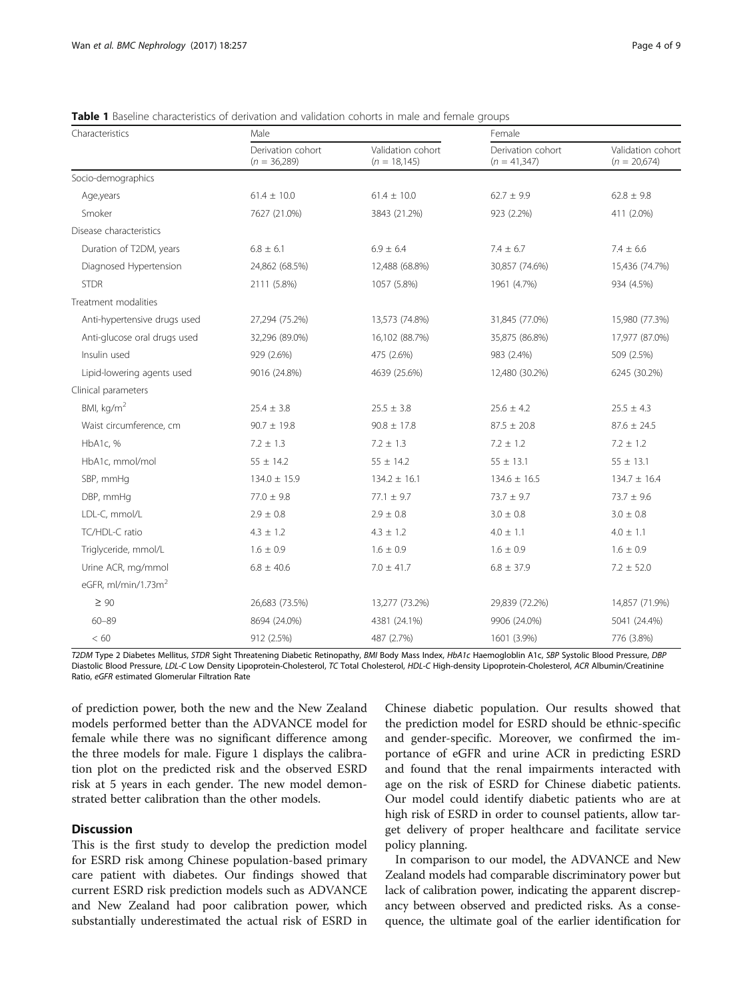| Characteristics                 | Male                                |                                      | Female                              |                                     |  |
|---------------------------------|-------------------------------------|--------------------------------------|-------------------------------------|-------------------------------------|--|
|                                 | Derivation cohort<br>$(n = 36,289)$ | Validation cohort<br>$(n = 18, 145)$ | Derivation cohort<br>$(n = 41,347)$ | Validation cohort<br>$(n = 20,674)$ |  |
| Socio-demographics              |                                     |                                      |                                     |                                     |  |
| Age, years                      | $61.4 \pm 10.0$                     | $61.4 \pm 10.0$                      | $62.7 \pm 9.9$                      | $62.8 \pm 9.8$                      |  |
| Smoker                          | 7627 (21.0%)                        | 3843 (21.2%)                         | 923 (2.2%)                          | 411 (2.0%)                          |  |
| Disease characteristics         |                                     |                                      |                                     |                                     |  |
| Duration of T2DM, years         | $6.8 \pm 6.1$                       | $6.9 \pm 6.4$                        | $7.4 \pm 6.7$                       | $7.4 \pm 6.6$                       |  |
| Diagnosed Hypertension          | 24,862 (68.5%)                      | 12,488 (68.8%)                       | 30,857 (74.6%)                      | 15,436 (74.7%)                      |  |
| <b>STDR</b>                     | 2111 (5.8%)                         | 1057 (5.8%)                          | 1961 (4.7%)                         | 934 (4.5%)                          |  |
| Treatment modalities            |                                     |                                      |                                     |                                     |  |
| Anti-hypertensive drugs used    | 27,294 (75.2%)                      | 13,573 (74.8%)                       | 31,845 (77.0%)                      | 15,980 (77.3%)                      |  |
| Anti-glucose oral drugs used    | 32,296 (89.0%)                      | 16,102 (88.7%)                       | 35,875 (86.8%)                      | 17,977 (87.0%)                      |  |
| Insulin used                    | 929 (2.6%)                          | 475 (2.6%)                           | 983 (2.4%)                          | 509 (2.5%)                          |  |
| Lipid-lowering agents used      | 9016 (24.8%)                        | 4639 (25.6%)                         | 12,480 (30.2%)                      | 6245 (30.2%)                        |  |
| Clinical parameters             |                                     |                                      |                                     |                                     |  |
| BMI, kg/m <sup>2</sup>          | $25.4 \pm 3.8$                      | $25.5 \pm 3.8$                       | $25.6 \pm 4.2$                      | $25.5 \pm 4.3$                      |  |
| Waist circumference, cm         | $90.7 \pm 19.8$                     | $90.8 \pm 17.8$                      | $87.5 \pm 20.8$                     | $87.6 \pm 24.5$                     |  |
| HbA1c, %                        | $7.2 \pm 1.3$                       | $7.2 \pm 1.3$                        | $7.2 \pm 1.2$                       | $7.2 \pm 1.2$                       |  |
| HbA1c, mmol/mol                 | $55 \pm 14.2$                       | $55 \pm 14.2$                        | $55 \pm 13.1$                       | $55 \pm 13.1$                       |  |
| SBP, mmHq                       | $134.0 \pm 15.9$                    | $134.2 \pm 16.1$                     | $134.6 \pm 16.5$                    | $134.7 \pm 16.4$                    |  |
| DBP, mmHg                       | $77.0 \pm 9.8$                      | $77.1 \pm 9.7$                       | $73.7 \pm 9.7$                      | $73.7 \pm 9.6$                      |  |
| LDL-C, mmol/L                   | $2.9 \pm 0.8$                       | $2.9 \pm 0.8$                        | $3.0 \pm 0.8$                       | $3.0\,\pm\,0.8$                     |  |
| TC/HDL-C ratio                  | $4.3 \pm 1.2$                       | $4.3 \pm 1.2$                        | $4.0 \pm 1.1$                       | $4.0 \pm 1.1$                       |  |
| Triglyceride, mmol/L            | $1.6 \pm 0.9$                       | $1.6 \pm 0.9$                        | $1.6 \pm 0.9$                       | $1.6 \pm 0.9$                       |  |
| Urine ACR, mg/mmol              | $6.8 \pm 40.6$                      | $7.0 \pm 41.7$                       | $6.8 \pm 37.9$                      | $7.2 \pm 52.0$                      |  |
| eGFR, ml/min/1.73m <sup>2</sup> |                                     |                                      |                                     |                                     |  |
| $\geq 90$                       | 26,683 (73.5%)                      | 13,277 (73.2%)                       | 29,839 (72.2%)                      | 14,857 (71.9%)                      |  |
| $60 - 89$                       | 8694 (24.0%)                        | 4381 (24.1%)                         | 9906 (24.0%)                        | 5041 (24.4%)                        |  |
| < 60                            | 912 (2.5%)                          | 487 (2.7%)                           | 1601 (3.9%)                         | 776 (3.8%)                          |  |

<span id="page-3-0"></span>**Table 1** Baseline characteristics of derivation and validation cohorts in male and female groups

T2DM Type 2 Diabetes Mellitus, STDR Sight Threatening Diabetic Retinopathy, BMI Body Mass Index, HbA1c Haemogloblin A1c, SBP Systolic Blood Pressure, DBP Diastolic Blood Pressure, LDL-C Low Density Lipoprotein-Cholesterol, TC Total Cholesterol, HDL-C High-density Lipoprotein-Cholesterol, ACR Albumin/Creatinine Ratio, eGFR estimated Glomerular Filtration Rate

of prediction power, both the new and the New Zealand models performed better than the ADVANCE model for female while there was no significant difference among the three models for male. Figure [1](#page-5-0) displays the calibration plot on the predicted risk and the observed ESRD risk at 5 years in each gender. The new model demonstrated better calibration than the other models.

## **Discussion**

This is the first study to develop the prediction model for ESRD risk among Chinese population-based primary care patient with diabetes. Our findings showed that current ESRD risk prediction models such as ADVANCE and New Zealand had poor calibration power, which substantially underestimated the actual risk of ESRD in

Chinese diabetic population. Our results showed that the prediction model for ESRD should be ethnic-specific and gender-specific. Moreover, we confirmed the importance of eGFR and urine ACR in predicting ESRD and found that the renal impairments interacted with age on the risk of ESRD for Chinese diabetic patients. Our model could identify diabetic patients who are at high risk of ESRD in order to counsel patients, allow target delivery of proper healthcare and facilitate service policy planning.

In comparison to our model, the ADVANCE and New Zealand models had comparable discriminatory power but lack of calibration power, indicating the apparent discrepancy between observed and predicted risks. As a consequence, the ultimate goal of the earlier identification for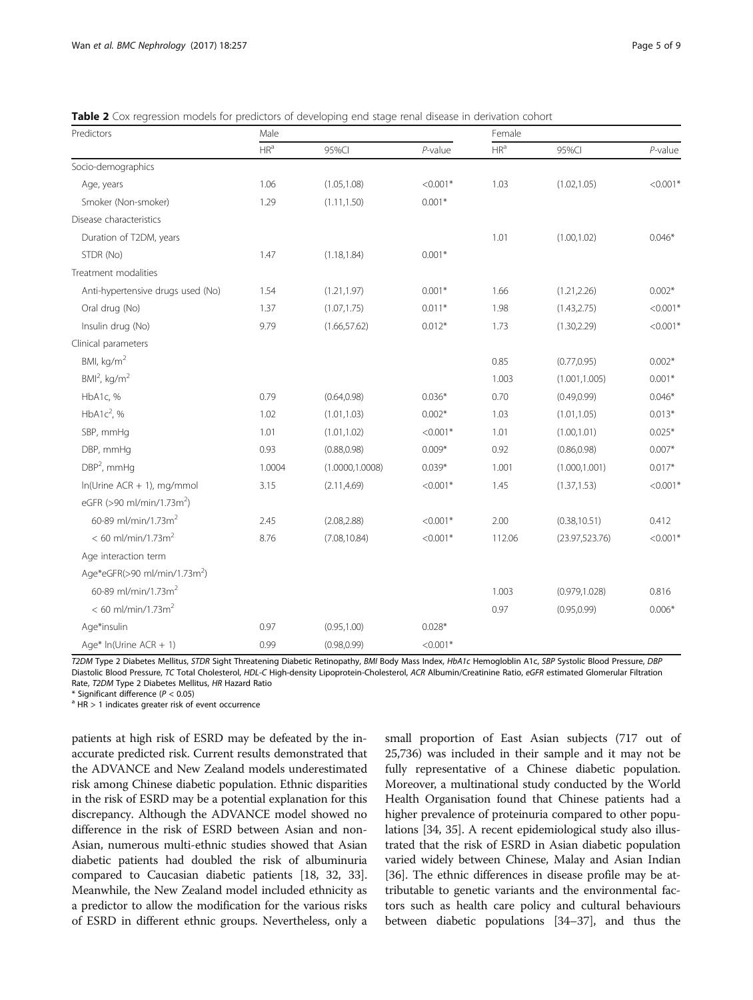<span id="page-4-0"></span>Table 2 Cox regression models for predictors of developing end stage renal disease in derivation cohort

| Predictors                               | Male            |                  | Female     |                 |                 |            |
|------------------------------------------|-----------------|------------------|------------|-----------------|-----------------|------------|
|                                          | HR <sup>a</sup> | 95%CI            | $P$ -value | HR <sup>a</sup> | 95%CI           | $P$ -value |
| Socio-demographics                       |                 |                  |            |                 |                 |            |
| Age, years                               | 1.06            | (1.05, 1.08)     | $< 0.001*$ | 1.03            | (1.02, 1.05)    | $< 0.001*$ |
| Smoker (Non-smoker)                      | 1.29            | (1.11, 1.50)     | $0.001*$   |                 |                 |            |
| Disease characteristics                  |                 |                  |            |                 |                 |            |
| Duration of T2DM, years                  |                 |                  |            | 1.01            | (1.00, 1.02)    | $0.046*$   |
| STDR (No)                                | 1.47            | (1.18, 1.84)     | $0.001*$   |                 |                 |            |
| Treatment modalities                     |                 |                  |            |                 |                 |            |
| Anti-hypertensive drugs used (No)        | 1.54            | (1.21, 1.97)     | $0.001*$   | 1.66            | (1.21, 2.26)    | $0.002*$   |
| Oral drug (No)                           | 1.37            | (1.07, 1.75)     | $0.011*$   | 1.98            | (1.43, 2.75)    | $< 0.001*$ |
| Insulin drug (No)                        | 9.79            | (1.66, 57.62)    | $0.012*$   | 1.73            | (1.30, 2.29)    | $< 0.001*$ |
| Clinical parameters                      |                 |                  |            |                 |                 |            |
| BMI, $kg/m2$                             |                 |                  |            | 0.85            | (0.77, 0.95)    | $0.002*$   |
| $BMl2$ , kg/m <sup>2</sup>               |                 |                  |            | 1.003           | (1.001, 1.005)  | $0.001*$   |
| HbA1c, %                                 | 0.79            | (0.64, 0.98)     | $0.036*$   | 0.70            | (0.49, 0.99)    | $0.046*$   |
| HbA1 $c^2$ , %                           | 1.02            | (1.01, 1.03)     | $0.002*$   | 1.03            | (1.01, 1.05)    | $0.013*$   |
| SBP, mmHq                                | 1.01            | (1.01, 1.02)     | $< 0.001*$ | 1.01            | (1.00, 1.01)    | $0.025*$   |
| DBP, mmHq                                | 0.93            | (0.88, 0.98)     | $0.009*$   | 0.92            | (0.86, 0.98)    | $0.007*$   |
| $DBP2$ , mmHg                            | 1.0004          | (1.0000, 1.0008) | $0.039*$   | 1.001           | (1.000, 1.001)  | $0.017*$   |
| $ln(U$ rine ACR + 1), mg/mmol            | 3.15            | (2.11, 4.69)     | $< 0.001*$ | 1.45            | (1.37, 1.53)    | $< 0.001*$ |
| eGFR (>90 ml/min/1.73m <sup>2</sup> )    |                 |                  |            |                 |                 |            |
| 60-89 ml/min/1.73m <sup>2</sup>          | 2.45            | (2.08, 2.88)     | $< 0.001*$ | 2.00            | (0.38, 10.51)   | 0.412      |
| $< 60$ ml/min/1.73m <sup>2</sup>         | 8.76            | (7.08, 10.84)    | $< 0.001*$ | 112.06          | (23.97, 523.76) | $< 0.001*$ |
| Age interaction term                     |                 |                  |            |                 |                 |            |
| Age*eGFR(>90 ml/min/1.73m <sup>2</sup> ) |                 |                  |            |                 |                 |            |
| 60-89 ml/min/1.73m <sup>2</sup>          |                 |                  |            | 1.003           | (0.979, 1.028)  | 0.816      |
| $< 60$ ml/min/1.73m <sup>2</sup>         |                 |                  |            | 0.97            | (0.95, 0.99)    | $0.006*$   |
| Age*insulin                              | 0.97            | (0.95, 1.00)     | $0.028*$   |                 |                 |            |
| Age* $ln(U$ rine ACR + 1)                | 0.99            | (0.98, 0.99)     | $< 0.001*$ |                 |                 |            |

T2DM Type 2 Diabetes Mellitus, STDR Sight Threatening Diabetic Retinopathy, BMI Body Mass Index, HbA1c Hemogloblin A1c, SBP Systolic Blood Pressure, DBP Diastolic Blood Pressure, TC Total Cholesterol, HDL-C High-density Lipoprotein-Cholesterol, ACR Albumin/Creatinine Ratio, eGFR estimated Glomerular Filtration Rate, T2DM Type 2 Diabetes Mellitus, HR Hazard Ratio \* Significant difference ( $P < 0.05$ )

 $A<sup>a</sup> HR > 1$  indicates greater risk of event occurrence

patients at high risk of ESRD may be defeated by the inaccurate predicted risk. Current results demonstrated that the ADVANCE and New Zealand models underestimated risk among Chinese diabetic population. Ethnic disparities in the risk of ESRD may be a potential explanation for this discrepancy. Although the ADVANCE model showed no difference in the risk of ESRD between Asian and non-Asian, numerous multi-ethnic studies showed that Asian diabetic patients had doubled the risk of albuminuria compared to Caucasian diabetic patients [\[18](#page-7-0), [32, 33](#page-8-0)]. Meanwhile, the New Zealand model included ethnicity as a predictor to allow the modification for the various risks of ESRD in different ethnic groups. Nevertheless, only a

small proportion of East Asian subjects (717 out of 25,736) was included in their sample and it may not be fully representative of a Chinese diabetic population. Moreover, a multinational study conducted by the World Health Organisation found that Chinese patients had a higher prevalence of proteinuria compared to other populations [\[34](#page-8-0), [35](#page-8-0)]. A recent epidemiological study also illustrated that the risk of ESRD in Asian diabetic population varied widely between Chinese, Malay and Asian Indian [[36](#page-8-0)]. The ethnic differences in disease profile may be attributable to genetic variants and the environmental factors such as health care policy and cultural behaviours between diabetic populations [\[34](#page-8-0)–[37](#page-8-0)], and thus the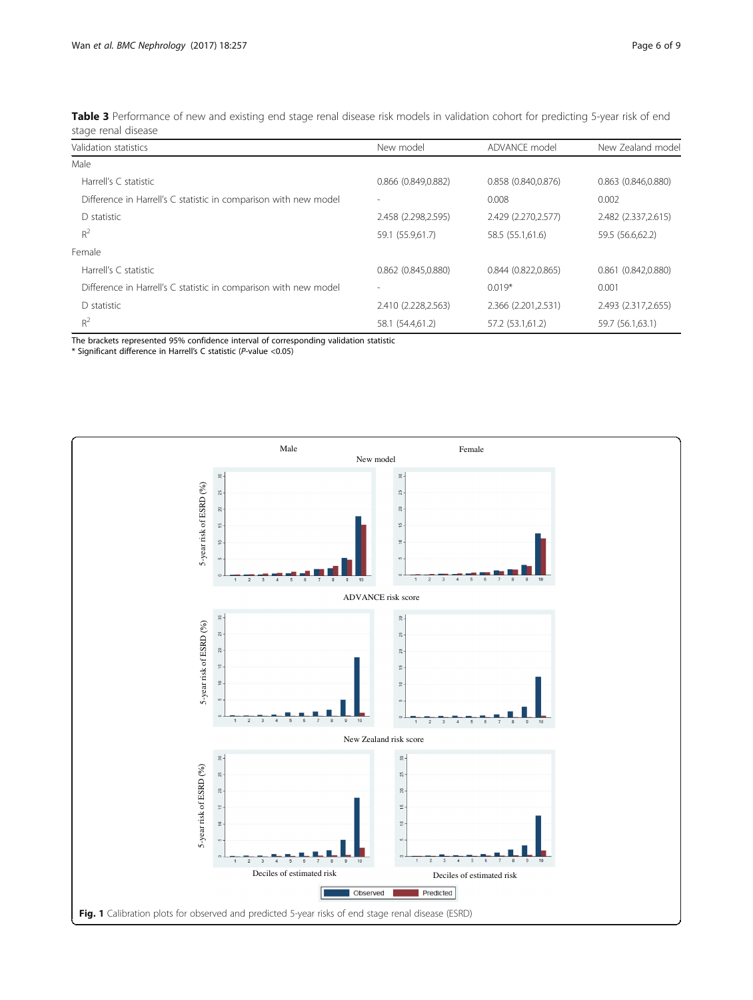<span id="page-5-0"></span>

| Table 3 Performance of new and existing end stage renal disease risk models in validation cohort for predicting 5-year risk of end |  |
|------------------------------------------------------------------------------------------------------------------------------------|--|
| stage renal disease                                                                                                                |  |

| Validation statistics                                            | New model           | ADVANCE model       | New Zealand model        |
|------------------------------------------------------------------|---------------------|---------------------|--------------------------|
| Male                                                             |                     |                     |                          |
| Harrell's C statistic                                            | 0.866 (0.849,0.882) | 0.858 (0.840,0.876) | $0.863$ $(0.846, 0.880)$ |
| Difference in Harrell's C statistic in comparison with new model |                     | 0.008               | 0.002                    |
| D statistic                                                      | 2.458 (2.298,2.595) | 2.429 (2.270,2.577) | 2.482 (2.337, 2.615)     |
| $R^2$                                                            | 59.1 (55.9,61.7)    | 58.5 (55.1,61.6)    | 59.5 (56.6,62.2)         |
| Female                                                           |                     |                     |                          |
| Harrell's C statistic                                            | 0.862 (0.845,0.880) | 0.844(0.822.0.865)  | 0.861(0.842.0.880)       |
| Difference in Harrell's C statistic in comparison with new model |                     | $0.019*$            | 0.001                    |
| D statistic                                                      | 2.410 (2.228,2.563) | 2.366 (2.201,2.531) | 2.493 (2.317,2.655)      |
| $R^2$                                                            | 58.1 (54.4,61.2)    | 57.2 (53.1,61.2)    | 59.7 (56.1,63.1)         |

The brackets represented 95% confidence interval of corresponding validation statistic

\* Significant difference in Harrell's C statistic (P-value <0.05)

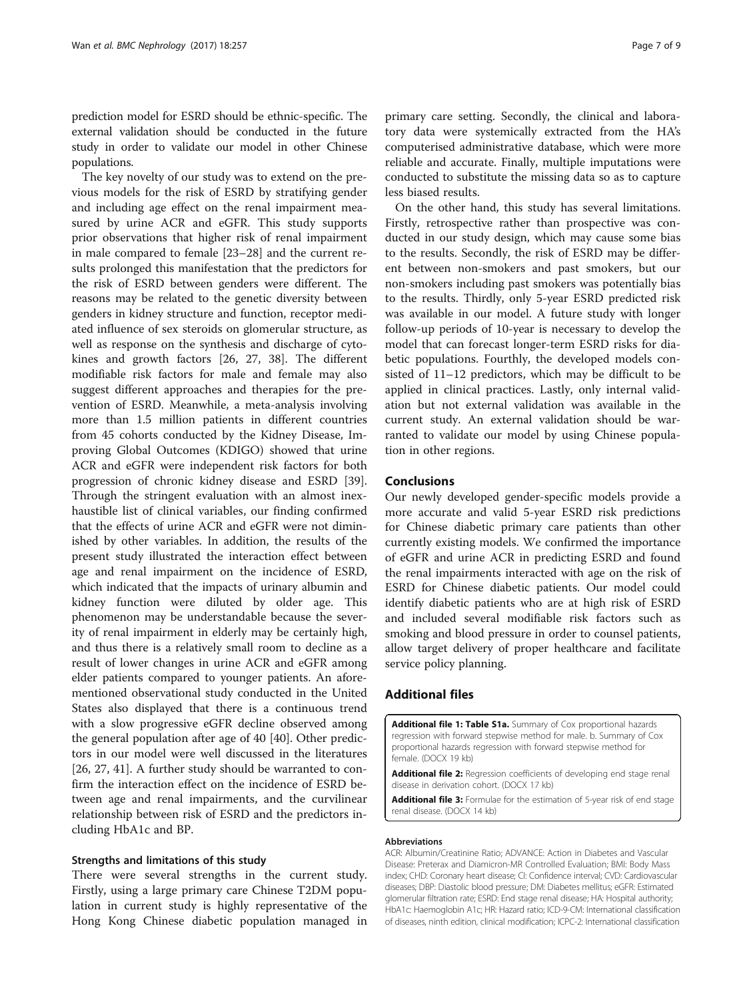<span id="page-6-0"></span>prediction model for ESRD should be ethnic-specific. The external validation should be conducted in the future study in order to validate our model in other Chinese populations.

The key novelty of our study was to extend on the previous models for the risk of ESRD by stratifying gender and including age effect on the renal impairment measured by urine ACR and eGFR. This study supports prior observations that higher risk of renal impairment in male compared to female [\[23](#page-7-0)–[28\]](#page-7-0) and the current results prolonged this manifestation that the predictors for the risk of ESRD between genders were different. The reasons may be related to the genetic diversity between genders in kidney structure and function, receptor mediated influence of sex steroids on glomerular structure, as well as response on the synthesis and discharge of cytokines and growth factors [\[26](#page-7-0), [27](#page-7-0), [38](#page-8-0)]. The different modifiable risk factors for male and female may also suggest different approaches and therapies for the prevention of ESRD. Meanwhile, a meta-analysis involving more than 1.5 million patients in different countries from 45 cohorts conducted by the Kidney Disease, Improving Global Outcomes (KDIGO) showed that urine ACR and eGFR were independent risk factors for both progression of chronic kidney disease and ESRD [\[39](#page-8-0)]. Through the stringent evaluation with an almost inexhaustible list of clinical variables, our finding confirmed that the effects of urine ACR and eGFR were not diminished by other variables. In addition, the results of the present study illustrated the interaction effect between age and renal impairment on the incidence of ESRD, which indicated that the impacts of urinary albumin and kidney function were diluted by older age. This phenomenon may be understandable because the severity of renal impairment in elderly may be certainly high, and thus there is a relatively small room to decline as a result of lower changes in urine ACR and eGFR among elder patients compared to younger patients. An aforementioned observational study conducted in the United States also displayed that there is a continuous trend with a slow progressive eGFR decline observed among the general population after age of 40 [\[40](#page-8-0)]. Other predictors in our model were well discussed in the literatures [[26, 27,](#page-7-0) [41](#page-8-0)]. A further study should be warranted to confirm the interaction effect on the incidence of ESRD between age and renal impairments, and the curvilinear relationship between risk of ESRD and the predictors including HbA1c and BP.

## Strengths and limitations of this study

There were several strengths in the current study. Firstly, using a large primary care Chinese T2DM population in current study is highly representative of the Hong Kong Chinese diabetic population managed in

primary care setting. Secondly, the clinical and laboratory data were systemically extracted from the HA's computerised administrative database, which were more reliable and accurate. Finally, multiple imputations were conducted to substitute the missing data so as to capture less biased results.

On the other hand, this study has several limitations. Firstly, retrospective rather than prospective was conducted in our study design, which may cause some bias to the results. Secondly, the risk of ESRD may be different between non-smokers and past smokers, but our non-smokers including past smokers was potentially bias to the results. Thirdly, only 5-year ESRD predicted risk was available in our model. A future study with longer follow-up periods of 10-year is necessary to develop the model that can forecast longer-term ESRD risks for diabetic populations. Fourthly, the developed models consisted of 11–12 predictors, which may be difficult to be applied in clinical practices. Lastly, only internal validation but not external validation was available in the current study. An external validation should be warranted to validate our model by using Chinese population in other regions.

## Conclusions

Our newly developed gender-specific models provide a more accurate and valid 5-year ESRD risk predictions for Chinese diabetic primary care patients than other currently existing models. We confirmed the importance of eGFR and urine ACR in predicting ESRD and found the renal impairments interacted with age on the risk of ESRD for Chinese diabetic patients. Our model could identify diabetic patients who are at high risk of ESRD and included several modifiable risk factors such as smoking and blood pressure in order to counsel patients, allow target delivery of proper healthcare and facilitate service policy planning.

## Additional files

[Additional file 1: Table S1a.](dx.doi.org/10.1186/s12882-017-0671-x) Summary of Cox proportional hazards regression with forward stepwise method for male. b. Summary of Cox proportional hazards regression with forward stepwise method for female. (DOCX 19 kb)

[Additional file 2:](dx.doi.org/10.1186/s12882-017-0671-x) Regression coefficients of developing end stage renal disease in derivation cohort. (DOCX 17 kb)

[Additional file 3:](dx.doi.org/10.1186/s12882-017-0671-x) Formulae for the estimation of 5-year risk of end stage renal disease. (DOCX 14 kb)

#### Abbreviations

ACR: Albumin/Creatinine Ratio; ADVANCE: Action in Diabetes and Vascular Disease: Preterax and Diamicron-MR Controlled Evaluation; BMI: Body Mass index; CHD: Coronary heart disease; CI: Confidence interval; CVD: Cardiovascular diseases; DBP: Diastolic blood pressure; DM: Diabetes mellitus; eGFR: Estimated glomerular filtration rate; ESRD: End stage renal disease; HA: Hospital authority; HbA1c: Haemoglobin A1c; HR: Hazard ratio; ICD-9-CM: International classification of diseases, ninth edition, clinical modification; ICPC-2: International classification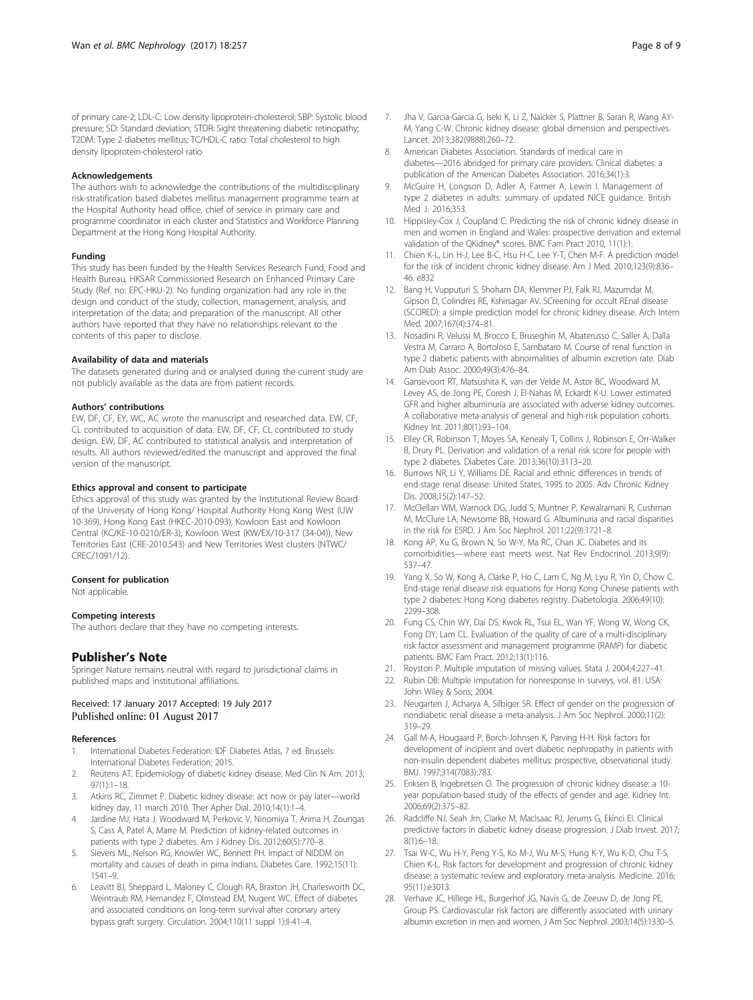<span id="page-7-0"></span>of primary care-2; LDL-C: Low density lipoprotein-cholesterol; SBP: Systolic blood pressure; SD: Standard deviation; STDR: Sight threatening diabetic retinopathy; T2DM: Type 2 diabetes mellitus; TC/HDL-C ratio: Total cholesterol to high density lipoprotein-cholesterol ratio

#### Acknowledgements

The authors wish to acknowledge the contributions of the multidisciplinary risk-stratification based diabetes mellitus management programme team at the Hospital Authority head office, chief of service in primary care and programme coordinator in each cluster and Statistics and Workforce Planning Department at the Hong Kong Hospital Authority.

#### Funding

This study has been funded by the Health Services Research Fund, Food and Health Bureau, HKSAR Commissioned Research on Enhanced Primary Care Study (Ref. no: EPC-HKU-2). No funding organization had any role in the design and conduct of the study; collection, management, analysis, and interpretation of the data; and preparation of the manuscript. All other authors have reported that they have no relationships relevant to the contents of this paper to disclose.

#### Availability of data and materials

The datasets generated during and or analysed during the current study are not publicly available as the data are from patient records.

#### Authors' contributions

EW, DF, CF, EY, WC, AC wrote the manuscript and researched data. EW, CF, CL contributed to acquisition of data. EW, DF, CF, CL contributed to study design. EW, DF, AC contributed to statistical analysis and interpretation of results. All authors reviewed/edited the manuscript and approved the final version of the manuscript.

#### Ethics approval and consent to participate

Ethics approval of this study was granted by the Institutional Review Board of the University of Hong Kong/ Hospital Authority Hong Kong West (UW 10-369), Hong Kong East (HKEC-2010-093), Kowloon East and Kowloon Central (KC/KE-10-0210/ER-3), Kowloon West (KW/EX/10-317 (34-04)), New Territories East (CRE-2010.543) and New Territories West clusters (NTWC/ CREC/1091/12).

#### Consent for publication

Not applicable.

#### Competing interests

The authors declare that they have no competing interests.

## Publisher's Note

Springer Nature remains neutral with regard to jurisdictional claims in published maps and institutional affiliations.

#### Received: 17 January 2017 Accepted: 19 July 2017 Published online: 01 August 2017

#### References

- 1. International Diabetes Federation: IDF Diabetes Atlas, 7 ed. Brussels: International Diabetes Federation; 2015.
- 2. Reutens AT. Epidemiology of diabetic kidney disease. Med Clin N Am. 2013; 97(1):1–18.
- 3. Atkins RC, Zimmet P. Diabetic kidney disease: act now or pay later—world kidney day, 11 march 2010. Ther Apher Dial. 2010;14(1):1–4.
- Jardine MJ, Hata J, Woodward M, Perkovic V, Ninomiya T, Arima H, Zoungas S, Cass A, Patel A, Marre M. Prediction of kidney-related outcomes in patients with type 2 diabetes. Am J Kidney Dis. 2012;60(5):770–8.
- 5. Sievers ML, Nelson RG, Knowler WC, Bennett PH. Impact of NIDDM on mortality and causes of death in pima Indians. Diabetes Care. 1992;15(11): 1541–9.
- 6. Leavitt BJ, Sheppard L, Maloney C, Clough RA, Braxton JH, Charlesworth DC, Weintraub RM, Hernandez F, Olmstead EM, Nugent WC. Effect of diabetes and associated conditions on long-term survival after coronary artery bypass graft surgery. Circulation. 2004;110(11 suppl 1):II-41–4.
- 7. Jha V, Garcia-Garcia G, Iseki K, Li Z, Naicker S, Plattner B, Saran R, Wang AY-M, Yang C-W. Chronic kidney disease: global dimension and perspectives. Lancet. 2013;382(9888):260–72.
- American Diabetes Association. Standards of medical care in diabetes—2016 abridged for primary care providers. Clinical diabetes: a publication of the American Diabetes Association. 2016;34(1):3.
- 9. McGuire H, Longson D, Adler A, Farmer A, Lewin I. Management of type 2 diabetes in adults: summary of updated NICE guidance. British Med J. 2016;353.
- 10. Hippisley-Cox J, Coupland C: Predicting the risk of chronic kidney disease in men and women in England and Wales: prospective derivation and external validation of the QKidney® scores. BMC Fam Pract 2010, 11(1):1.
- 11. Chien K-L, Lin H-J, Lee B-C, Hsu H-C, Lee Y-T, Chen M-F. A prediction model for the risk of incident chronic kidney disease. Am J Med. 2010;123(9):836– 46. e832
- 12. Bang H, Vupputuri S, Shoham DA, Klemmer PJ, Falk RJ, Mazumdar M, Gipson D, Colindres RE, Kshirsagar AV. SCreening for occult REnal disease (SCORED): a simple prediction model for chronic kidney disease. Arch Intern Med. 2007;167(4):374–81.
- 13. Nosadini R, Velussi M, Brocco E, Bruseghin M, Abaterusso C, Saller A, Dalla Vestra M, Carraro A, Bortoloso E, Sambataro M. Course of renal function in type 2 diabetic patients with abnormalities of albumin excretion rate. Diab Am Diab Assoc. 2000;49(3):476–84.
- 14. Gansevoort RT, Matsushita K, van der Velde M, Astor BC, Woodward M, Levey AS, de Jong PE, Coresh J, El-Nahas M, Eckardt K-U. Lower estimated GFR and higher albuminuria are associated with adverse kidney outcomes. A collaborative meta-analysis of general and high-risk population cohorts. Kidney Int. 2011;80(1):93–104.
- 15. Elley CR, Robinson T, Moyes SA, Kenealy T, Collins J, Robinson E, Orr-Walker B, Drury PL. Derivation and validation of a renal risk score for people with type 2 diabetes. Diabetes Care. 2013;36(10):3113–20.
- 16. Burrows NR, Li Y, Williams DE. Racial and ethnic differences in trends of end-stage renal disease: United States, 1995 to 2005. Adv Chronic Kidney Dis. 2008;15(2):147–52.
- 17. McClellan WM, Warnock DG, Judd S, Muntner P, Kewalramani R, Cushman M, McClure LA, Newsome BB, Howard G. Albuminuria and racial disparities in the risk for ESRD. J Am Soc Nephrol. 2011;22(9):1721–8.
- 18. Kong AP, Xu G, Brown N, So W-Y, Ma RC, Chan JC. Diabetes and its comorbidities—where east meets west. Nat Rev Endocrinol. 2013;9(9): 537–47.
- 19. Yang X, So W, Kong A, Clarke P, Ho C, Lam C, Ng M, Lyu R, Yin D, Chow C. End-stage renal disease risk equations for Hong Kong Chinese patients with type 2 diabetes: Hong Kong diabetes registry. Diabetologia. 2006;49(10): 2299–308.
- 20. Fung CS, Chin WY, Dai DS, Kwok RL, Tsui EL, Wan YF, Wong W, Wong CK, Fong DY, Lam CL. Evaluation of the quality of care of a multi-disciplinary risk factor assessment and management programme (RAMP) for diabetic patients. BMC Fam Pract. 2012;13(1):116.
- 21. Royston P. Multiple imputation of missing values. Stata J. 2004;4:227–41.
- 22. Rubin DB: Multiple imputation for nonresponse in surveys, vol. 81. USA: John Wiley & Sons; 2004.
- 23. Neugarten J, Acharya A, Silbiger SR. Effect of gender on the progression of nondiabetic renal disease a meta-analysis. J Am Soc Nephrol. 2000;11(2): 319–29.
- 24. Gall M-A, Hougaard P, Borch-Johnsen K, Parving H-H. Risk factors for development of incipient and overt diabetic nephropathy in patients with non-insulin dependent diabetes mellitus: prospective, observational study. BMJ. 1997;314(7083):783.
- 25. Eriksen B, Ingebretsen O. The progression of chronic kidney disease: a 10 year population-based study of the effects of gender and age. Kidney Int. 2006;69(2):375–82.
- 26. Radcliffe NJ, Seah Jm, Clarke M, MacIsaac RJ, Jerums G, Ekinci EI. Clinical predictive factors in diabetic kidney disease progression. J Diab Invest. 2017; 8(1):6–18.
- 27. Tsai W-C, Wu H-Y, Peng Y-S, Ko M-J, Wu M-S, Hung K-Y, Wu K-D, Chu T-S, Chien K-L. Risk factors for development and progression of chronic kidney disease: a systematic review and exploratory meta-analysis. Medicine. 2016; 95(11):e3013.
- 28. Verhave JC, Hillege HL, Burgerhof JG, Navis G, de Zeeuw D, de Jong PE, Group PS. Cardiovascular risk factors are differently associated with urinary albumin excretion in men and women. J Am Soc Nephrol. 2003;14(5):1330–5.